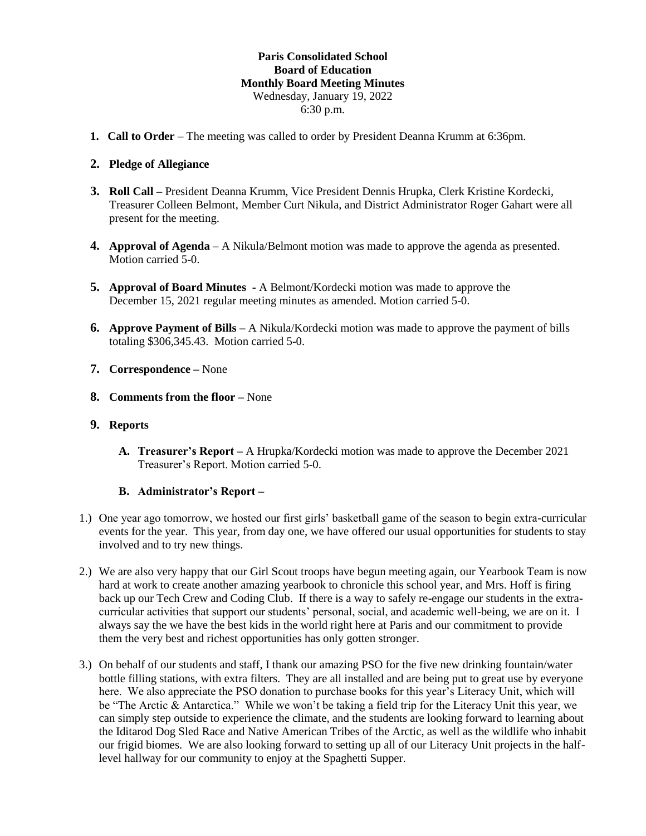## **Paris Consolidated School Board of Education Monthly Board Meeting Minutes** Wednesday, January 19, 2022 6:30 p.m.

**1. Call to Order** – The meeting was called to order by President Deanna Krumm at 6:36pm.

## **2. Pledge of Allegiance**

- **3. Roll Call –** President Deanna Krumm, Vice President Dennis Hrupka, Clerk Kristine Kordecki, Treasurer Colleen Belmont, Member Curt Nikula, and District Administrator Roger Gahart were all present for the meeting.
- **4. Approval of Agenda** A Nikula/Belmont motion was made to approve the agenda as presented. Motion carried 5-0.
- **5. Approval of Board Minutes -** A Belmont/Kordecki motion was made to approve the December 15, 2021 regular meeting minutes as amended. Motion carried 5-0.
- **6. Approve Payment of Bills –** A Nikula/Kordecki motion was made to approve the payment of bills totaling \$306,345.43. Motion carried 5-0.
- **7. Correspondence –** None
- **8. Comments from the floor –** None
- **9. Reports**
	- **A. Treasurer's Report –** A Hrupka/Kordecki motion was made to approve the December 2021 Treasurer's Report. Motion carried 5-0.

#### **B. Administrator's Report –**

- 1.) One year ago tomorrow, we hosted our first girls' basketball game of the season to begin extra-curricular events for the year. This year, from day one, we have offered our usual opportunities for students to stay involved and to try new things.
- 2.) We are also very happy that our Girl Scout troops have begun meeting again, our Yearbook Team is now hard at work to create another amazing yearbook to chronicle this school year, and Mrs. Hoff is firing back up our Tech Crew and Coding Club. If there is a way to safely re-engage our students in the extracurricular activities that support our students' personal, social, and academic well-being, we are on it. I always say the we have the best kids in the world right here at Paris and our commitment to provide them the very best and richest opportunities has only gotten stronger.
- 3.) On behalf of our students and staff, I thank our amazing PSO for the five new drinking fountain/water bottle filling stations, with extra filters. They are all installed and are being put to great use by everyone here. We also appreciate the PSO donation to purchase books for this year's Literacy Unit, which will be "The Arctic & Antarctica." While we won't be taking a field trip for the Literacy Unit this year, we can simply step outside to experience the climate, and the students are looking forward to learning about the Iditarod Dog Sled Race and Native American Tribes of the Arctic, as well as the wildlife who inhabit our frigid biomes. We are also looking forward to setting up all of our Literacy Unit projects in the halflevel hallway for our community to enjoy at the Spaghetti Supper.